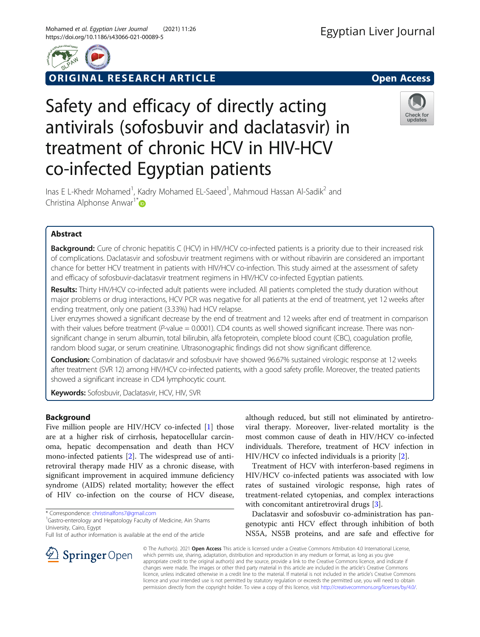

ORIGINAL RESEARCH ARTICLE **Solution Contract Contract Contract Contract Contract Contract Contract Contract Contract Contract Contract Contract Contract Contract Contract Contract Contract Contract Contract Contract Contra** 

# Safety and efficacy of directly acting antivirals (sofosbuvir and daclatasvir) in treatment of chronic HCV in HIV-HCV co-infected Egyptian patients



Inas E L-Khedr Mohamed<sup>1</sup>, Kadry Mohamed EL-Saeed<sup>1</sup>, Mahmoud Hassan Al-Sadik<sup>2</sup> and Christina Alphonse Anwar<sup>1[\\*](http://orcid.org/0000-0002-4641-4765)</sup>

# Abstract

**Background:** Cure of chronic hepatitis C (HCV) in HIV/HCV co-infected patients is a priority due to their increased risk of complications. Daclatasvir and sofosbuvir treatment regimens with or without ribavirin are considered an important chance for better HCV treatment in patients with HIV/HCV co-infection. This study aimed at the assessment of safety and efficacy of sofosbuvir-daclatasvir treatment regimens in HIV/HCV co-infected Egyptian patients.

Results: Thirty HIV/HCV co-infected adult patients were included. All patients completed the study duration without major problems or drug interactions, HCV PCR was negative for all patients at the end of treatment, yet 12 weeks after ending treatment, only one patient (3.33%) had HCV relapse.

Liver enzymes showed a significant decrease by the end of treatment and 12 weeks after end of treatment in comparison with their values before treatment ( $P$ -value = 0.0001). CD4 counts as well showed significant increase. There was nonsignificant change in serum albumin, total bilirubin, alfa fetoprotein, complete blood count (CBC), coagulation profile, random blood sugar, or serum creatinine. Ultrasonographic findings did not show significant difference.

Conclusion: Combination of daclatasvir and sofosbuvir have showed 96.67% sustained virologic response at 12 weeks after treatment (SVR 12) among HIV/HCV co-infected patients, with a good safety profile. Moreover, the treated patients showed a significant increase in CD4 lymphocytic count.

Keywords: Sofosbuvir, Daclatasvir, HCV, HIV, SVR

# Background

Five million people are HIV/HCV co-infected [[1\]](#page-3-0) those are at a higher risk of cirrhosis, hepatocellular carcinoma, hepatic decompensation and death than HCV mono-infected patients [\[2](#page-3-0)]. The widespread use of antiretroviral therapy made HIV as a chronic disease, with significant improvement in acquired immune deficiency syndrome (AIDS) related mortality; however the effect of HIV co-infection on the course of HCV disease,

\* Correspondence: [christinalfons7@gmail.com](mailto:christinalfons7@gmail.com) <sup>1</sup>

 $\Omega$  Springer Open

<sup>1</sup> Gastro-enterology and Hepatology Faculty of Medicine, Ain Shams University, Cairo, Egypt

Full list of author information is available at the end of the article

although reduced, but still not eliminated by antiretroviral therapy. Moreover, liver-related mortality is the most common cause of death in HIV/HCV co-infected individuals. Therefore, treatment of HCV infection in HIV/HCV co infected individuals is a priority [[2\]](#page-3-0).

Treatment of HCV with interferon-based regimens in HIV/HCV co-infected patients was associated with low rates of sustained virologic response, high rates of treatment-related cytopenias, and complex interactions with concomitant antiretroviral drugs [[3\]](#page-3-0).

Daclatasvir and sofosbuvir co-administration has pangenotypic anti HCV effect through inhibition of both NS5A, NS5B proteins, and are safe and effective for

© The Author(s). 2021 Open Access This article is licensed under a Creative Commons Attribution 4.0 International License, which permits use, sharing, adaptation, distribution and reproduction in any medium or format, as long as you give appropriate credit to the original author(s) and the source, provide a link to the Creative Commons licence, and indicate if changes were made. The images or other third party material in this article are included in the article's Creative Commons licence, unless indicated otherwise in a credit line to the material. If material is not included in the article's Creative Commons licence and your intended use is not permitted by statutory regulation or exceeds the permitted use, you will need to obtain permission directly from the copyright holder. To view a copy of this licence, visit <http://creativecommons.org/licenses/by/4.0/>.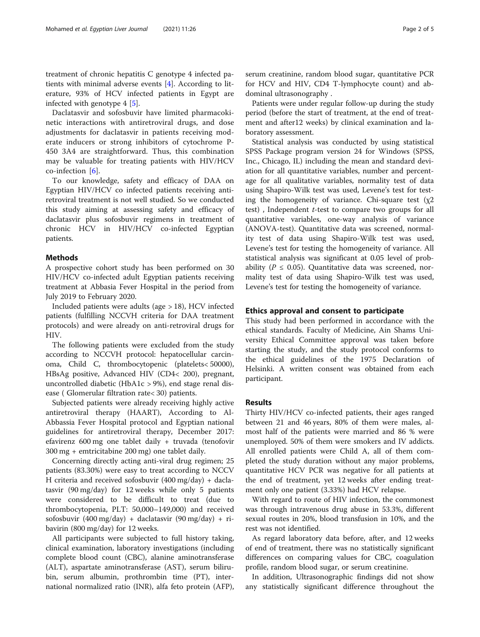treatment of chronic hepatitis C genotype 4 infected patients with minimal adverse events [\[4](#page-3-0)]. According to literature, 93% of HCV infected patients in Egypt are infected with genotype 4 [[5\]](#page-3-0).

Daclatasvir and sofosbuvir have limited pharmacokinetic interactions with antiretroviral drugs, and dose adjustments for daclatasvir in patients receiving moderate inducers or strong inhibitors of cytochrome P-450 3A4 are straightforward. Thus, this combination may be valuable for treating patients with HIV/HCV co-infection  $[6]$  $[6]$ .

To our knowledge, safety and efficacy of DAA on Egyptian HIV/HCV co infected patients receiving antiretroviral treatment is not well studied. So we conducted this study aiming at assessing safety and efficacy of daclatasvir plus sofosbuvir regimens in treatment of chronic HCV in HIV/HCV co-infected Egyptian patients.

# **Methods**

A prospective cohort study has been performed on 30 HIV/HCV co-infected adult Egyptian patients receiving treatment at Abbasia Fever Hospital in the period from July 2019 to February 2020.

Included patients were adults (age > 18), HCV infected patients (fulfilling NCCVH criteria for DAA treatment protocols) and were already on anti-retroviral drugs for HIV.

The following patients were excluded from the study according to NCCVH protocol: hepatocellular carcinoma, Child C, thrombocytopenic (platelets< 50000), HBsAg positive, Advanced HIV (CD4< 200), pregnant, uncontrolled diabetic (HbA1c > 9%), end stage renal disease ( Glomerular filtration rate< 30) patients.

Subjected patients were already receiving highly active antiretroviral therapy (HAART), According to Al-Abbassia Fever Hospital protocol and Egyptian national guidelines for antiretroviral therapy, December 2017: efavirenz 600 mg one tablet daily + truvada (tenofovir 300 mg + emtricitabine 200 mg) one tablet daily.

Concerning directly acting anti-viral drug regimen; 25 patients (83.30%) were easy to treat according to NCCV H criteria and received sofosbuvir (400 mg/day) + daclatasvir (90 mg/day) for 12 weeks while only 5 patients were considered to be difficult to treat (due to thrombocytopenia, PLT: 50,000–149,000) and received sofosbuvir (400 mg/day) + daclatasvir (90 mg/day) + ribavirin (800 mg/day) for 12 weeks.

All participants were subjected to full history taking, clinical examination, laboratory investigations (including complete blood count (CBC), alanine aminotransferase (ALT), aspartate aminotransferase (AST), serum bilirubin, serum albumin, prothrombin time (PT), international normalized ratio (INR), alfa feto protein (AFP),

serum creatinine, random blood sugar, quantitative PCR for HCV and HIV, CD4 T-lymphocyte count) and abdominal ultrasonography .

Patients were under regular follow-up during the study period (before the start of treatment, at the end of treatment and after12 weeks) by clinical examination and laboratory assessment.

Statistical analysis was conducted by using statistical SPSS Package program version 24 for Windows (SPSS, Inc., Chicago, IL) including the mean and standard deviation for all quantitative variables, number and percentage for all qualitative variables, normality test of data using Shapiro-Wilk test was used, Levene's test for testing the homogeneity of variance. Chi-square test  $(\chi^2)$ test), Independent  $t$ -test to compare two groups for all quantitative variables, one-way analysis of variance (ANOVA-test). Quantitative data was screened, normality test of data using Shapiro-Wilk test was used, Levene's test for testing the homogeneity of variance. All statistical analysis was significant at 0.05 level of probability ( $P \le 0.05$ ). Quantitative data was screened, normality test of data using Shapiro-Wilk test was used, Levene's test for testing the homogeneity of variance.

# Ethics approval and consent to participate

This study had been performed in accordance with the ethical standards. Faculty of Medicine, Ain Shams University Ethical Committee approval was taken before starting the study, and the study protocol conforms to the ethical guidelines of the 1975 Declaration of Helsinki. A written consent was obtained from each participant.

# Results

Thirty HIV/HCV co-infected patients, their ages ranged between 21 and 46 years, 80% of them were males, almost half of the patients were married and 86 % were unemployed. 50% of them were smokers and IV addicts. All enrolled patients were Child A, all of them completed the study duration without any major problems, quantitative HCV PCR was negative for all patients at the end of treatment, yet 12 weeks after ending treatment only one patient (3.33%) had HCV relapse.

With regard to route of HIV infection, the commonest was through intravenous drug abuse in 53.3%, different sexual routes in 20%, blood transfusion in 10%, and the rest was not identified.

As regard laboratory data before, after, and 12 weeks of end of treatment, there was no statistically significant differences on comparing values for CBC, coagulation profile, random blood sugar, or serum creatinine.

In addition, Ultrasonographic findings did not show any statistically significant difference throughout the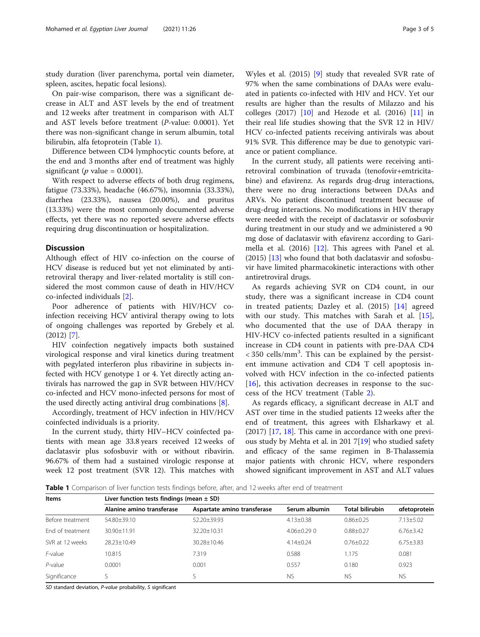study duration (liver parenchyma, portal vein diameter, spleen, ascites, hepatic focal lesions).

On pair-wise comparison, there was a significant decrease in ALT and AST levels by the end of treatment and 12 weeks after treatment in comparison with ALT and AST levels before treatment (P-value: 0.0001). Yet there was non-significant change in serum albumin, total bilirubin, alfa fetoprotein (Table 1).

Difference between CD4 lymphocytic counts before, at the end and 3 months after end of treatment was highly significant ( $p$  value = 0.0001).

With respect to adverse effects of both drug regimens, fatigue (73.33%), headache (46.67%), insomnia (33.33%), diarrhea (23.33%), nausea (20.00%), and pruritus (13.33%) were the most commonly documented adverse effects, yet there was no reported severe adverse effects requiring drug discontinuation or hospitalization.

# **Discussion**

Although effect of HIV co-infection on the course of HCV disease is reduced but yet not eliminated by antiretroviral therapy and liver-related mortality is still considered the most common cause of death in HIV/HCV co-infected individuals [\[2](#page-3-0)].

Poor adherence of patients with HIV/HCV coinfection receiving HCV antiviral therapy owing to lots of ongoing challenges was reported by Grebely et al. (2012) [[7\]](#page-3-0).

HIV coinfection negatively impacts both sustained virological response and viral kinetics during treatment with pegylated interferon plus ribavirine in subjects infected with HCV genotype 1 or 4. Yet directly acting antivirals has narrowed the gap in SVR between HIV/HCV co-infected and HCV mono-infected persons for most of the used directly acting antiviral drug combinations [\[8](#page-3-0)].

Accordingly, treatment of HCV infection in HIV/HCV coinfected individuals is a priority.

In the current study, thirty HIV–HCV coinfected patients with mean age 33.8 years received 12 weeks of daclatasvir plus sofosbuvir with or without ribavirin. 96.67% of them had a sustained virologic response at week 12 post treatment (SVR 12). This matches with

Wyles et al. (2015) [\[9](#page-3-0)] study that revealed SVR rate of 97% when the same combinations of DAAs were evaluated in patients co-infected with HIV and HCV. Yet our results are higher than the results of Milazzo and his colleges (2017) [\[10](#page-3-0)] and Hezode et al. (2016) [\[11](#page-3-0)] in their real life studies showing that the SVR 12 in HIV/ HCV co-infected patients receiving antivirals was about 91% SVR. This difference may be due to genotypic variance or patient compliance.

In the current study, all patients were receiving antiretroviral combination of truvada (tenofovir+emtricitabine) and efavirenz. As regards drug-drug interactions, there were no drug interactions between DAAs and ARVs. No patient discontinued treatment because of drug-drug interactions. No modifications in HIV therapy were needed with the receipt of daclatasvir or sofosbuvir during treatment in our study and we administered a 90 mg dose of daclatasvir with efavirenz according to Garimella et al. (2016) [[12\]](#page-4-0). This agrees with Panel et al. (2015) [[13\]](#page-4-0) who found that both daclatasvir and sofosbuvir have limited pharmacokinetic interactions with other antiretroviral drugs.

As regards achieving SVR on CD4 count, in our study, there was a significant increase in CD4 count in treated patients; Dazley et al. (2015) [\[14](#page-4-0)] agreed with our study. This matches with Sarah et al. [\[15](#page-4-0)], who documented that the use of DAA therapy in HIV-HCV co-infected patients resulted in a significant increase in CD4 count in patients with pre-DAA CD4  $<$  350 cells/mm<sup>3</sup>. This can be explained by the persistent immune activation and CD4 T cell apoptosis involved with HCV infection in the co-infected patients  $[16]$  $[16]$ , this activation decreases in response to the success of the HCV treatment (Table [2](#page-3-0)).

As regards efficacy, a significant decrease in ALT and AST over time in the studied patients 12 weeks after the end of treatment, this agrees with Elsharkawy et al. (2017) [[17,](#page-4-0) [18\]](#page-4-0). This came in accordance with one previ-ous study by Mehta et al. in 201 7[\[19\]](#page-4-0) who studied safety and efficacy of the same regimen in B-Thalassemia major patients with chronic HCV, where responders showed significant improvement in AST and ALT values

Table 1 Comparison of liver function tests findings before, after, and 12 weeks after end of treatment

| <b>Items</b>     | Liver function tests findings (mean $\pm$ SD) |                             |                 |                        |                 |
|------------------|-----------------------------------------------|-----------------------------|-----------------|------------------------|-----------------|
|                  | Alanine amino transferase                     | Aspartate amino transferase | Serum albumin   | <b>Total bilirubin</b> | afetoprotein    |
| Before treatment | $54.80 + 39.10$                               | 52.20±39.93                 | $4.13 \pm 0.38$ | $0.86 \pm 0.25$        | $7.13 \pm 5.02$ |
| End of treatment | $30.90 + 11.91$                               | $32.20 + 10.31$             | $4.06 + 0.29$ 0 | $0.88 + 0.27$          | $6.76 \pm 3.42$ |
| SVR at 12 weeks  | 28.23+10.49                                   | 30.28±10.46                 | $4.14 + 0.24$   | $0.76 + 0.22$          | $6.75 \pm 3.83$ |
| F-value          | 10.815                                        | 7.319                       | 0.588           | 1.175                  | 0.081           |
| $P$ -value       | 0.0001                                        | 0.001                       | 0.557           | 0.180                  | 0.923           |
| Significance     |                                               |                             | <b>NS</b>       | <b>NS</b>              | <b>NS</b>       |

SD standard deviation, P-value probability, S significant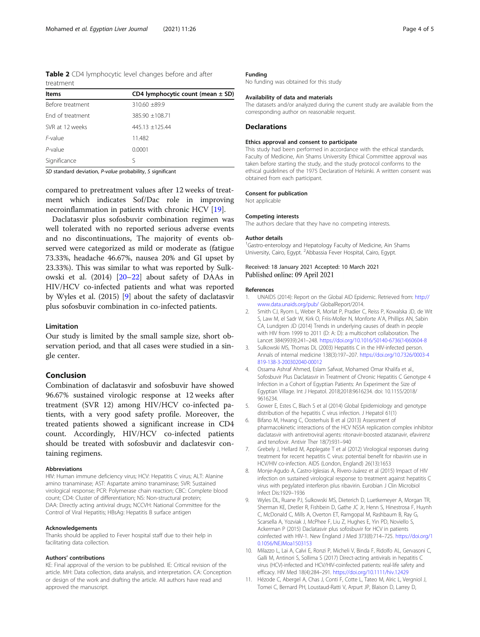<span id="page-3-0"></span>Table 2 CD4 lymphocytic level changes before and after treatment

| <b>Items</b>     | CD4 lymphocytic count (mean $\pm$ SD) |
|------------------|---------------------------------------|
| Before treatment | $310.60 + 89.9$                       |
| Fnd of treatment | 385.90 +108.71                        |
| SVR at 12 weeks  | $445.13 + 125.44$                     |
| F-value          | 11.482                                |
| $P$ -value       | 0.0001                                |
| Significance     | ς                                     |

SD standard deviation, P-value probability, S significant

compared to pretreatment values after 12 weeks of treatment which indicates Sof/Dac role in improving necroinflammation in patients with chronic HCV [\[19\]](#page-4-0).

Daclatasvir plus sofosbuvir combination regimen was well tolerated with no reported serious adverse events and no discontinuations, The majority of events observed were categorized as mild or moderate as (fatigue 73.33%, headache 46.67%, nausea 20% and GI upset by 23.33%). This was similar to what was reported by Sulkowski et al. (2014) [[20](#page-4-0)–[22](#page-4-0)] about safety of DAAs in HIV/HCV co-infected patients and what was reported by Wyles et al. (2015) [9] about the safety of daclatasvir plus sofosbuvir combination in co-infected patients.

#### Limitation

Our study is limited by the small sample size, short observation period, and that all cases were studied in a single center.

## Conclusion

Combination of daclatasvir and sofosbuvir have showed 96.67% sustained virologic response at 12 weeks after treatment (SVR 12) among HIV/HCV co-infected patients, with a very good safety profile. Moreover, the treated patients showed a significant increase in CD4 count. Accordingly, HIV/HCV co-infected patients should be treated with sofosbuvir and daclatesvir containing regimens.

## Abbreviations

HIV: Human immune deficiency virus; HCV: Hepatitis C virus; ALT: Alanine amino tranaminase; AST: Aspartate amino tranaminase; SVR: Sustained virological response; PCR: Polymerase chain reaction; CBC: Complete blood count; CD4: Cluster of differentiation; NS: Non-structural protein; DAA: Directly acting antiviral drugs; NCCVH: National Committee for the Control of Viral Hepatitis; HBsAg: Hepatitis B surface antigen

#### Acknowledgements

Thanks should be applied to Fever hospital staff due to their help in facilitating data collection.

#### Authors' contributions

KE: Final approval of the version to be published. IE: Critical revision of the article. MH: Data collection, data analysis, and interpretation. CA: Conception or design of the work and drafting the article. All authors have read and approved the manuscript.

### Funding

No funding was obtained for this study

#### Availability of data and materials

The datasets and/or analyzed during the current study are available from the corresponding author on reasonable request.

## **Declarations**

#### Ethics approval and consent to participate

This study had been performed in accordance with the ethical standards. Faculty of Medicine, Ain Shams University Ethical Committee approval was taken before starting the study, and the study protocol conforms to the ethical guidelines of the 1975 Declaration of Helsinki. A written consent was obtained from each participant.

#### Consent for publication

Not applicable

#### Competing interests

The authors declare that they have no competing interests.

#### Author details

<sup>1</sup>Gastro-enterology and Hepatology Faculty of Medicine, Ain Shams University, Cairo, Egypt. <sup>2</sup>Abbassia Fever Hospital, Cairo, Egypt.

## Received: 18 January 2021 Accepted: 10 March 2021 Published online: 09 April 2021

#### References

- 1. UNAIDS (2014): Report on the Global AID Epidemic. Retrieved from: [http://](http://www.data.unaids.org/pub/) [www.data.unaids.org/pub/](http://www.data.unaids.org/pub/) GlobalReport/2014.
- 2. Smith CJ, Ryom L, Weber R, Morlat P, Pradier C, Reiss P, Kowalska JD, de Wit S, Law M, el Sadr W, Kirk O, Friis-Moller N, Monforte A'A, Phillips AN, Sabin CA, Lundgren JD (2014) Trends in underlying causes of death in people with HIV from 1999 to 2011 (D: A: D): a multicohort collaboration. The Lancet 384(9939):241–248. [https://doi.org/10.1016/S0140-6736\(14\)60604-8](https://doi.org/10.1016/S0140-6736(14)60604-8)
- 3. Sulkowski MS, Thomas DL (2003) Hepatitis C in the HIV-infected person. Annals of internal medicine 138(3):197–207. [https://doi.org/10.7326/0003-4](https://doi.org/10.7326/0003-4819-138-3-200302040-00012) [819-138-3-200302040-00012](https://doi.org/10.7326/0003-4819-138-3-200302040-00012)
- 4. Ossama Ashraf Ahmed, Eslam Safwat, Mohamed Omar Khalifa et al., Sofosbuvir Plus Daclatasvir in Treatment of Chronic Hepatitis C Genotype 4 Infection in a Cohort of Egyptian Patients: An Experiment the Size of Egyptian Village. Int J Hepatol. 2018;2018:9616234. doi: 10.1155/2018/ 9616234.
- 5. Gower E, Estes C, Blach S et al (2014) Global Epidemiology and genotype distribution of the hepatitis C virus infection. J Hepatol 61(1)
- 6. Bifano M, Hwang C, Oosterhuis B et al (2013) Assessment of pharmacokinetic interactions of the HCV NS5A replication complex inhibitor daclatasvir with antiretroviral agents: ritonavir-boosted atazanavir, efavirenz and tenofovir. Antivir Ther 18(7):931–940
- 7. Grebely J, Hellard M, Applegate T et al (2012) Virological responses during treatment for recent hepatitis C virus: potential benefit for ribavirin use in HCV/HIV co-infection. AIDS (London, England) 26(13):1653
- 8. Monje-Agudo A, Castro-Iglesias A, Rivero-Juárez et al (2015) Impact of HIV infection on sustained virological response to treatment against hepatitis C virus with pegylated interferon plus ribavirin. Eurobian J Clin Microbiol Infect Dis:1929–1936
- 9. Wyles DL, Ruane PJ, Sulkowski MS, Dieterich D, Luetkemeyer A, Morgan TR, Sherman KE, Dretler R, Fishbein D, Gathe JC Jr, Henn S, Hinestrosa F, Huynh C, McDonald C, Mills A, Overton ET, Ramgopal M, Rashbaum B, Ray G, Scarsella A, Yozviak J, McPhee F, Liu Z, Hughes E, Yin PD, Noviello S, Ackerman P (2015) Daclatasvir plus sofosbuvir for HCV in patients coinfected with HIV-1. New England J Med 373(8):714–725. [https://doi.org/1](https://doi.org/10.1056/NEJMoa1503153) [0.1056/NEJMoa1503153](https://doi.org/10.1056/NEJMoa1503153)
- 10. Milazzo L, Lai A, Calvi E, Ronzi P, Micheli V, Binda F, Ridolfo AL, Gervasoni C, Galli M, Antinori S, Sollima S (2017) Direct-acting antivirals in hepatitis C virus (HCV)-infected and HCV/HIV-coinfected patients: real-life safety and efficacy. HIV Med 18(4):284–291. <https://doi.org/10.1111/hiv.12429>
- 11. Hézode C, Abergel A, Chas J, Conti F, Cotte L, Tateo M, Alric L, Vergniol J, Tomei C, Bernard PH, Loustaud-Ratti V, Arpurt JP, Blaison D, Larrey D,